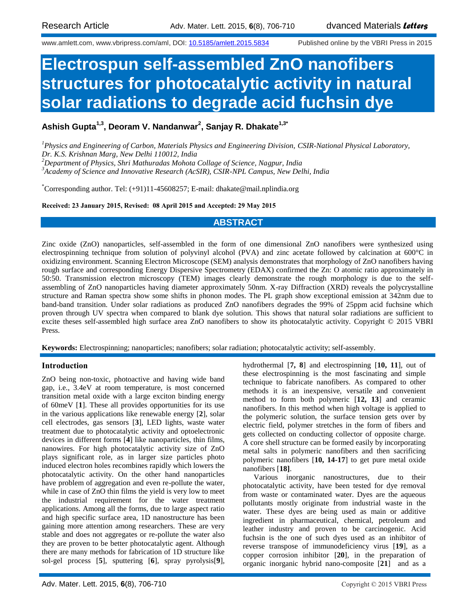www.amlett.com, www.vbripress.com/aml, DOI: [10.5185/amlett.2015.5834](http://dx.doi.org/10.5185/amlett.2015.5834) Published online by the VBRI Press in 2015

# **Electrospun self-assembled ZnO nanofibers structures for photocatalytic activity in natural solar radiations to degrade acid fuchsin dye**

**Ashish Gupta1,3, Deoram V. Nandanwar<sup>2</sup> , Sanjay R. Dhakate1,3\***

*<sup>1</sup>Physics and Engineering of Carbon, Materials Physics and Engineering Division, CSIR-National Physical Laboratory, Dr. K.S. Krishnan Marg, New Delhi 110012, India*

*<sup>2</sup>Department of Physics, Shri Mathuradas Mohota Collage of Science, Nagpur, India*

*<sup>3</sup>Academy of Science and Innovative Research (AcSIR), CSIR-NPL Campus, New Delhi, India*

\*Corresponding author. Tel: (+91)11-45608257; E-mail: dhakate@mail.nplindia.org

**Received: 23 January 2015, Revised: 08 April 2015 and Accepted: 29 May 2015**

# **ABSTRACT**

Zinc oxide (ZnO) nanoparticles, self-assembled in the form of one dimensional ZnO nanofibers were synthesized using electrospinning technique from solution of polyvinyl alcohol (PVA) and zinc acetate followed by calcination at 600°C in oxidizing environment. Scanning Electron Microscope (SEM) analysis demonstrates that morphology of ZnO nanofibers having rough surface and corresponding Energy Dispersive Spectrometry (EDAX) confirmed the Zn: O atomic ratio approximately in 50:50. Transmission electron microscopy (TEM) images clearly demonstrate the rough morphology is due to the selfassembling of ZnO nanoparticles having diameter approximately 50nm. X-ray Diffraction (XRD) reveals the polycrystalline structure and Raman spectra show some shifts in phonon modes. The PL graph show exceptional emission at 342nm due to band-band transition. Under solar radiations as produced ZnO nanofibers degrades the 99% of 25ppm acid fuchsine which proven through UV spectra when compared to blank dye solution. This shows that natural solar radiations are sufficient to excite theses self-assembled high surface area ZnO nanofibers to show its photocatalytic activity. Copyright © 2015 VBRI Press.

**Keywords:** Electrospinning; nanoparticles; nanofibers; solar radiation; photocatalytic activity; self-assembly.

## **Introduction**

ZnO being non-toxic, photoactive and having wide band gap, i.e., 3.4eV at room temperature, is most concerned transition metal oxide with a large exciton binding energy of 60meV [**1**]. These all provides opportunities for its use in the various applications like renewable energy [**2**], solar cell electrodes, gas sensors [**3**], LED lights, waste water treatment due to photocatalytic activity and optoelectronic devices in different forms [**4**] like nanoparticles, thin films, nanowires. For high photocatalytic activity size of ZnO plays significant role, as in larger size particles photo induced electron holes recombines rapidly which lowers the photocatalytic activity. On the other hand nanoparticles have problem of aggregation and even re-pollute the water, while in case of ZnO thin films the yield is very low to meet the industrial requirement for the water treatment applications. Among all the forms, due to large aspect ratio and high specific surface area, 1D nanostructure has been gaining more attention among researchers. These are very stable and does not aggregates or re-pollute the water also they are proven to be better photocatalytic agent. Although there are many methods for fabrication of 1D structure like sol-gel process [**5**], sputtering [**6**], spray pyrolysis[**9**],

hydrothermal [**7, 8**] and electrospinning [**10, 11**], out of these electrospinning is the most fascinating and simple technique to fabricate nanofibers. As compared to other methods it is an inexpensive, versatile and convenient method to form both polymeric [**12, 13**] and ceramic nanofibers. In this method when high voltage is applied to the polymeric solution, the surface tension gets over by electric field, polymer stretches in the form of fibers and gets collected on conducting collector of opposite charge. A core shell structure can be formed easily by incorporating metal salts in polymeric nanofibers and then sacrificing polymeric nanofibers [**10, 14-17**] to get pure metal oxide nanofibers [**18]**.

Various inorganic nanostructures, due to their photocatalytic activity, have been tested for dye removal from waste or contaminated water. Dyes are the aqueous pollutants mostly originate from industrial waste in the water. These dyes are being used as main or additive ingredient in pharmaceutical, chemical, petroleum and leather industry and proven to be carcinogenic. Acid fuchsin is the one of such dyes used as an inhibitor of reverse transpose of immunodeficiency virus [**19**], as a copper corrosion inhibitor [**20**], in the preparation of organic inorganic hybrid nano-composite [**21**] and as a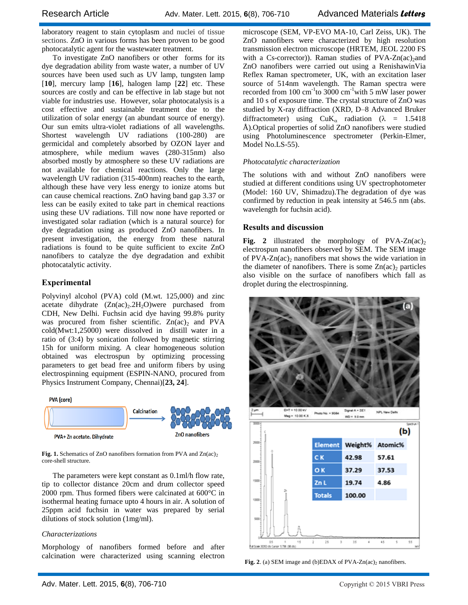laboratory reagent to stain cytoplasm and nuclei of tissue sections. ZnO in various forms has been proven to be good photocatalytic agent for the wastewater treatment.

To investigate ZnO nanofibers or other forms for its dye degradation ability from waste water, a number of UV sources have been used such as UV lamp, tungsten lamp [**10**], mercury lamp [**16**], halogen lamp [**22**] etc. These sources are costly and can be effective in lab stage but not viable for industries use. However, solar photocatalysis is a cost effective and sustainable treatment due to the utilization of solar energy (an abundant source of energy). Our sun emits ultra-violet radiations of all wavelengths. Shortest wavelength UV radiations (100-280) are germicidal and completely absorbed by OZON layer and atmosphere, while medium waves (280-315nm) also absorbed mostly by atmosphere so these UV radiations are not available for chemical reactions. Only the large wavelength UV radiation (315-400nm) reaches to the earth, although these have very less energy to ionize atoms but can cause chemical reactions. ZnO having band gap 3.37 or less can be easily exited to take part in chemical reactions using these UV radiations. Till now none have reported or investigated solar radiation (which is a natural source) for dye degradation using as produced ZnO nanofibers. In present investigation, the energy from these natural radiations is found to be quite sufficient to excite ZnO nanofibers to catalyze the dye degradation and exhibit photocatalytic activity.

# **Experimental**

Polyvinyl alcohol (PVA) cold (M.wt. 125,000) and zinc acetate dihydrate  $(Zn(ac), 2H, O)$ were purchased from CDH, New Delhi. Fuchsin acid dye having 99.8% purity was procured from fisher scientific.  $Zn(ac)_2$  and PVA cold(Mwt:1,25000) were dissolved in distill water in a ratio of (3:4) by sonication followed by magnetic stirring 15h for uniform mixing. A clear homogeneous solution obtained was electrospun by optimizing processing parameters to get bead free and uniform fibers by using electrospinning equipment (ESPIN-NANO, procured from Physics Instrument Company, Chennai)[**23, 24**].



**Fig. 1.** Schematics of ZnO nanofibers formation from PVA and Zn(ac)<sub>2</sub> core-shell structure.

The parameters were kept constant as 0.1ml/h flow rate, tip to collector distance 20cm and drum collector speed 2000 rpm. Thus formed fibers were calcinated at  $600^{\circ}$ C in isothermal heating furnace upto 4 hours in air. A solution of 25ppm acid fuchsin in water was prepared by serial dilutions of stock solution (1mg/ml).

## *Characterizations*

Morphology of nanofibers formed before and after calcination were characterized using scanning electron microscope (SEM, VP-EVO MA-10, Carl Zeiss, UK). The ZnO nanofibers were characterized by high resolution transmission electron microscope (HRTEM, JEOL 2200 FS with a Cs-corrector)). Raman studies of  $PVA-Zn(ac)<sub>2</sub>$ and ZnO nanofibers were carried out using a RenishawinVia Reflex Raman spectrometer, UK, with an excitation laser source of 514nm wavelength. The Raman spectra were recorded from 100 cm<sup>-1</sup>to 3000 cm<sup>-1</sup>with 5 mW laser power and 10 s of exposure time. The crystal structure of ZnO was studied by X-ray diffraction (XRD, D–8 Advanced Bruker diffractometer) using  $CuK_{\alpha}$  radiation ( $\lambda = 1.5418$ ) Å).Optical properties of solid ZnO nanofibers were studied using Photoluminescence spectrometer (Perkin-Elmer, Model No.LS-55).

#### *Photocatalytic characterization*

The solutions with and without ZnO nanofibers were studied at different conditions using UV spectrophotometer (Model: 160 UV, Shimadzu).The degradation of dye was confirmed by reduction in peak intensity at 546.5 nm (abs. wavelength for fuchsin acid).

## **Results and discussion**

**Fig. 2** illustrated the morphology of  $PVA-Zn(ac)_{2}$ electrospun nanofibers observed by SEM. The SEM image of  $PVA-Zn(ac)$  nanofibers mat shows the wide variation in the diameter of nanofibers. There is some  $Zn(ac)$  particles also visible on the surface of nanofibers which fall as droplet during the electrospinning.



Fig. 2. (a) SEM image and (b)EDAX of PVA-Zn(ac)<sub>2</sub> nanofibers.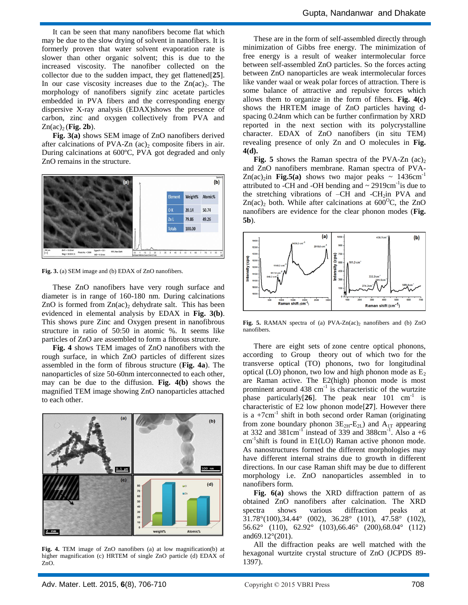It can be seen that many nanofibers become flat which may be due to the slow drying of solvent in nanofibers. It is formerly proven that water solvent evaporation rate is slower than other organic solvent; this is due to the increased viscosity. The nanofiber collected on the collector due to the sudden impact, they get flattened[**25**]. In our case viscosity increases due to the  $Zn(ac)_2$ . The morphology of nanofibers signify zinc acetate particles embedded in PVA fibers and the corresponding energy dispersive X-ray analysis (EDAX)shows the presence of carbon, zinc and oxygen collectively from PVA and  $Zn(ac)_2$  (**Fig. 2b**).

**Fig. 3(a)** shows SEM image of ZnO nanofibers derived after calcinations of PVA-Zn  $(ac)$  composite fibers in air. During calcinations at 600ºC, PVA got degraded and only ZnO remains in the structure.



**Fig. 3.** (a) SEM image and (b) EDAX of ZnO nanofibers.

These ZnO nanofibers have very rough surface and diameter is in range of 160-180 nm. During calcinations ZnO is formed from  $Zn(ac)$ , dehydrate salt. This has been evidenced in elemental analysis by EDAX in **Fig. 3(b)**. This shows pure Zinc and Oxygen present in nanofibrous structure in ratio of 50:50 in atomic %. It seems like particles of ZnO are assembled to form a fibrous structure.

**Fig. 4** shows TEM images of ZnO nanofibers with the rough surface, in which ZnO particles of different sizes assembled in the form of fibrous structure (**Fig. 4a**). The nanoparticles of size 50-60nm interconnected to each other, may can be due to the diffusion. **Fig. 4(b)** shows the magnified TEM image showing ZnO nanoparticles attached to each other.



**Fig. 4.** TEM image of ZnO nanofibers (a) at low magnification(b) at higher magnification (c) HRTEM of single ZnO particle (d) EDAX of ZnO.

These are in the form of self-assembled directly through minimization of Gibbs free energy. The minimization of free energy is a result of weaker intermolecular force between self-assembled ZnO particles. So the forces acting between ZnO nanoparticles are weak intermolecular forces like vander waal or weak polar forces of attraction. There is some balance of attractive and repulsive forces which allows them to organize in the form of fibers. **Fig. 4(c)** shows the HRTEM image of ZnO particles having dspacing 0.24nm which can be further confirmation by XRD reported in the next section with its polycrystalline character. EDAX of ZnO nanofibers (in situ TEM) revealing presence of only Zn and O molecules in **Fig. 4(d).**

**Fig. 5** shows the Raman spectra of the PVA-Zn  $(ac)_2$ and ZnO nanofibers membrane. Raman spectra of PVA- $Zn(ac)_{2}$ in **Fig.5(a)** shows two major peaks ~ 1436cm<sup>-1</sup> attributed to -CH and -OH bending and  $\sim 2919 \text{cm}^{-1}$  is due to the stretching vibrations of  $-CH$  and  $-CH_2$ in PVA and  $Zn(ac)_2$  both. While after calcinations at 600<sup>o</sup>C, the ZnO nanofibers are evidence for the clear phonon modes (**Fig. 5b**).



Fig. 5. RAMAN spectra of (a) PVA-Zn(ac)<sub>2</sub> nanofibers and (b) ZnO nanofibers.

There are eight sets of zone centre optical phonons, according to Group theory out of which two for the transverse optical (TO) phonons, two for longitudinal optical (LO) phonon, two low and high phonon mode as  $E_2$ are Raman active. The E2(high) phonon mode is most prominent around  $438 \text{ cm}^{-1}$  is characteristic of the wurtzite phase particularly<sup>[26]</sup>. The peak near 101 cm<sup>-1</sup> is characteristic of E2 low phonon mode[**27**]. However there is a  $+7$ cm<sup>-1</sup> shift in both second order Raman (originating from zone boundary phonon  $3E_{2H}-E_{2L}$ ) and  $A_{1T}$  appearing at 332 and  $381 \text{cm}^{-1}$  instead of 339 and  $388 \text{cm}^{-1}$ . Also a +6  $cm^{-1}$ shift is found in E1(LO) Raman active phonon mode. As nanostructures formed the different morphologies may have different internal strains due to growth in different directions. In our case Raman shift may be due to different morphology i.e. ZnO nanoparticles assembled in to nanofibers form.

**Fig. 6(a)** shows the XRD diffraction pattern of as obtained ZnO nanofibers after calcination. The XRD spectra shows various diffraction peaks at 31.78°(100),34.44° (002), 36.28° (101), 47.58° (102), 56.62° (110), 62.92° (103),66.46° (200),68.04° (112) and69.12°(201).

All the diffraction peaks are well matched with the hexagonal wurtzite crystal structure of ZnO (JCPDS 89- 1397).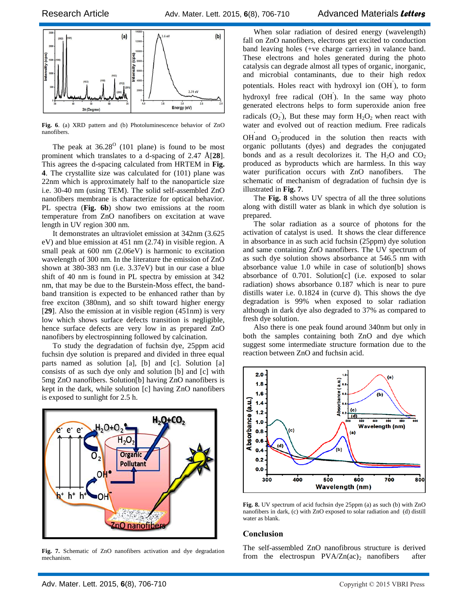

**Fig. 6**. (a) XRD pattern and (b) Photoluminescence behavior of ZnO nanofibers.

The peak at  $36.28^{\circ}$  (101 plane) is found to be most prominent which translates to a d-spacing of 2.47 Å[**28**]. This agrees the d-spacing calculated from HRTEM in **Fig. 4**. The crystallite size was calculated for (101) plane was 22nm which is approximately half to the nanoparticle size i.e. 30-40 nm (using TEM). The solid self-assembled ZnO nanofibers membrane is characterize for optical behavior. PL spectra (**Fig. 6b**) show two emissions at the room temperature from ZnO nanofibers on excitation at wave length in UV region 300 nm.

It demonstrates an ultraviolet emission at 342nm (3.625 eV) and blue emission at 451 nm (2.74) in visible region. A small peak at 600 nm (2.06eV) is harmonic to excitation wavelength of 300 nm. In the literature the emission of ZnO shown at 380-383 nm (i.e. 3.37eV) but in our case a blue shift of 40 nm is found in PL spectra by emission at 342 nm, that may be due to the Burstein-Moss effect, the bandband transition is expected to be enhanced rather than by free exciton (380nm), and so shift toward higher energy [**29**]. Also the emission at in visible region (451nm) is very low which shows surface defects transition is negligible, hence surface defects are very low in as prepared ZnO nanofibers by electrospinning followed by calcination.

To study the degradation of fuchsin dye, 25ppm acid fuchsin dye solution is prepared and divided in three equal parts named as solution [a], [b] and [c]. Solution [a] consists of as such dye only and solution [b] and [c] with 5mg ZnO nanofibers. Solution[b] having ZnO nanofibers is kept in the dark, while solution [c] having ZnO nanofibers is exposed to sunlight for 2.5 h.



**Fig. 7.** Schematic of ZnO nanofibers activation and dye degradation mechanism.

When solar radiation of desired energy (wavelength) fall on ZnO nanofibers, electrons get excited to conduction band leaving holes (+ve charge carriers) in valance band. These electrons and holes generated during the photo catalysis can degrade almost all types of organic, inorganic, and microbial contaminants, due to their high redox potentials. Holes react with hydroxyl ion (OH), to form hydroxyl free radical (OH **.** ). In the same way photo generated electrons helps to form superoxide anion free radicals  $(O_2)$ , But these may form  $H_2O_2$  when react with water and evolved out of reaction medium. Free radicals **. .**

OH and  $O_2$  produced in the solution then reacts with organic pollutants (dyes) and degrades the conjugated bonds and as a result decolorizes it. The  $H_2O$  and  $CO_2$ produced as byproducts which are harmless. In this way water purification occurs with ZnO nanofibers. The schematic of mechanism of degradation of fuchsin dye is illustrated in **Fig. 7**.

The **Fig. 8** shows UV spectra of all the three solutions along with distill water as blank in which dye solution is prepared.

The solar radiation as a source of photons for the activation of catalyst is used. It shows the clear difference in absorbance in as such acid fuchsin (25ppm) dye solution and same containing ZnO nanofibers. The UV spectrum of as such dye solution shows absorbance at 546.5 nm with absorbance value 1.0 while in case of solution[b] shows absorbance of 0.701. Solution[c] (i.e. exposed to solar radiation) shows absorbance 0.187 which is near to pure distills water i.e. 0.1824 in (curve d). This shows the dye degradation is 99% when exposed to solar radiation although in dark dye also degraded to 37% as compared to fresh dye solution.

Also there is one peak found around 340nm but only in both the samples containing both ZnO and dye which suggest some intermediate structure formation due to the reaction between ZnO and fuchsin acid.



**Fig. 8.** UV spectrum of acid fuchsin dye 25ppm (a) as such (b) with ZnO nanofibers in dark, (c) with ZnO exposed to solar radiation and (d) distill water as blank.

## **Conclusion**

The self-assembled ZnO nanofibrous structure is derived from the electrospun  $PVA/Zn(ac)$ , nanofibers after